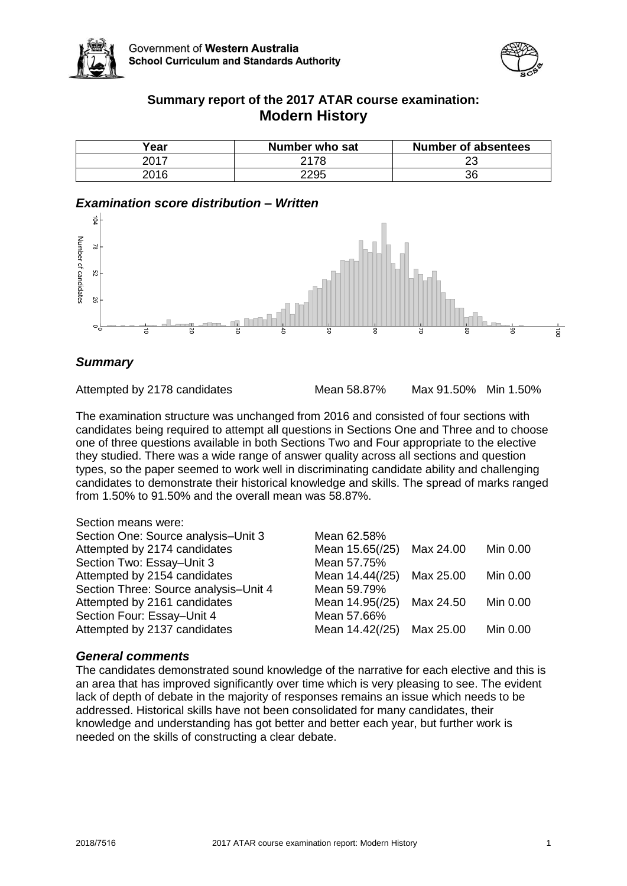



# **Summary report of the 2017 ATAR course examination: Modern History**

| Year | Number who sat | <b>Number of absentees</b> |
|------|----------------|----------------------------|
| 2017 | 2178           | າາ<br>້                    |
| 2016 | 2295           | 36                         |

# *Examination score distribution – Written*



# *Summary*

Attempted by 2178 candidates Mean 58.87% Max 91.50% Min 1.50%

The examination structure was unchanged from 2016 and consisted of four sections with candidates being required to attempt all questions in Sections One and Three and to choose one of three questions available in both Sections Two and Four appropriate to the elective they studied. There was a wide range of answer quality across all sections and question types, so the paper seemed to work well in discriminating candidate ability and challenging candidates to demonstrate their historical knowledge and skills. The spread of marks ranged from 1.50% to 91.50% and the overall mean was 58.87%.

| Section means were:                   |                 |           |          |
|---------------------------------------|-----------------|-----------|----------|
| Section One: Source analysis-Unit 3   | Mean 62.58%     |           |          |
| Attempted by 2174 candidates          | Mean 15.65(/25) | Max 24.00 | Min 0.00 |
| Section Two: Essay-Unit 3             | Mean 57.75%     |           |          |
| Attempted by 2154 candidates          | Mean 14.44(/25) | Max 25.00 | Min 0.00 |
| Section Three: Source analysis-Unit 4 | Mean 59.79%     |           |          |
| Attempted by 2161 candidates          | Mean 14.95(/25) | Max 24.50 | Min 0.00 |
| Section Four: Essay-Unit 4            | Mean 57.66%     |           |          |
| Attempted by 2137 candidates          | Mean 14.42(/25) | Max 25.00 | Min 0.00 |
|                                       |                 |           |          |

## *General comments*

The candidates demonstrated sound knowledge of the narrative for each elective and this is an area that has improved significantly over time which is very pleasing to see. The evident lack of depth of debate in the majority of responses remains an issue which needs to be addressed. Historical skills have not been consolidated for many candidates, their knowledge and understanding has got better and better each year, but further work is needed on the skills of constructing a clear debate.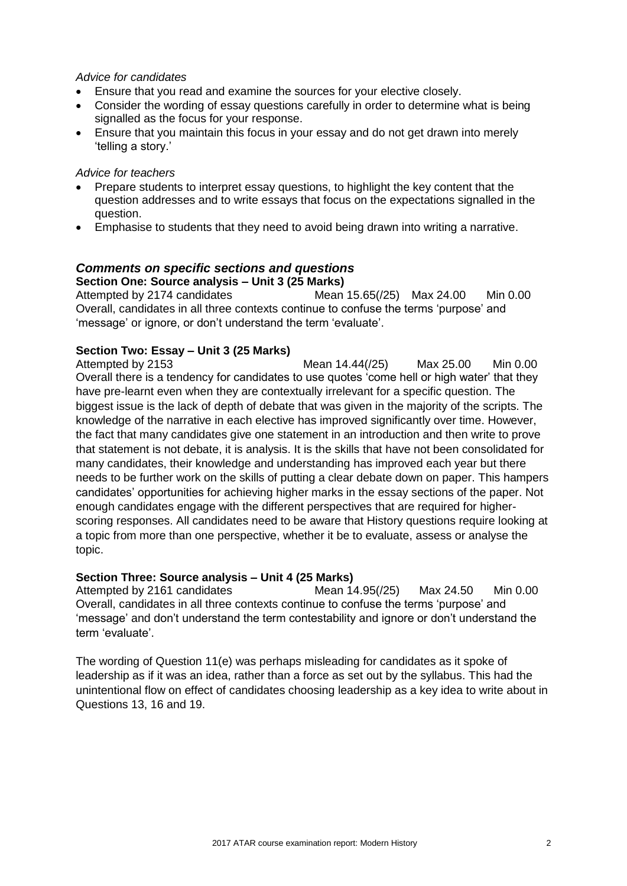### *Advice for candidates*

- Ensure that you read and examine the sources for your elective closely.
- Consider the wording of essay questions carefully in order to determine what is being signalled as the focus for your response.
- Ensure that you maintain this focus in your essay and do not get drawn into merely 'telling a story.'

#### *Advice for teachers*

- Prepare students to interpret essay questions, to highlight the key content that the question addresses and to write essays that focus on the expectations signalled in the question.
- Emphasise to students that they need to avoid being drawn into writing a narrative.

# *Comments on specific sections and questions*

**Section One: Source analysis – Unit 3 (25 Marks)** Attempted by 2174 candidates Mean 15.65(/25) Max 24.00 Min 0.00 Overall, candidates in all three contexts continue to confuse the terms 'purpose' and 'message' or ignore, or don't understand the term 'evaluate'.

## **Section Two: Essay – Unit 3 (25 Marks)**

Attempted by 2153 Mean 14.44(/25) Max 25.00 Min 0.00 Overall there is a tendency for candidates to use quotes 'come hell or high water' that they have pre-learnt even when they are contextually irrelevant for a specific question. The biggest issue is the lack of depth of debate that was given in the majority of the scripts. The knowledge of the narrative in each elective has improved significantly over time. However, the fact that many candidates give one statement in an introduction and then write to prove that statement is not debate, it is analysis. It is the skills that have not been consolidated for many candidates, their knowledge and understanding has improved each year but there needs to be further work on the skills of putting a clear debate down on paper. This hampers candidates' opportunities for achieving higher marks in the essay sections of the paper. Not enough candidates engage with the different perspectives that are required for higherscoring responses. All candidates need to be aware that History questions require looking at a topic from more than one perspective, whether it be to evaluate, assess or analyse the topic.

#### **Section Three: Source analysis – Unit 4 (25 Marks)**

Attempted by 2161 candidates Mean 14.95(/25) Max 24.50 Min 0.00 Overall, candidates in all three contexts continue to confuse the terms 'purpose' and 'message' and don't understand the term contestability and ignore or don't understand the term 'evaluate'.

The wording of Question 11(e) was perhaps misleading for candidates as it spoke of leadership as if it was an idea, rather than a force as set out by the syllabus. This had the unintentional flow on effect of candidates choosing leadership as a key idea to write about in Questions 13, 16 and 19.